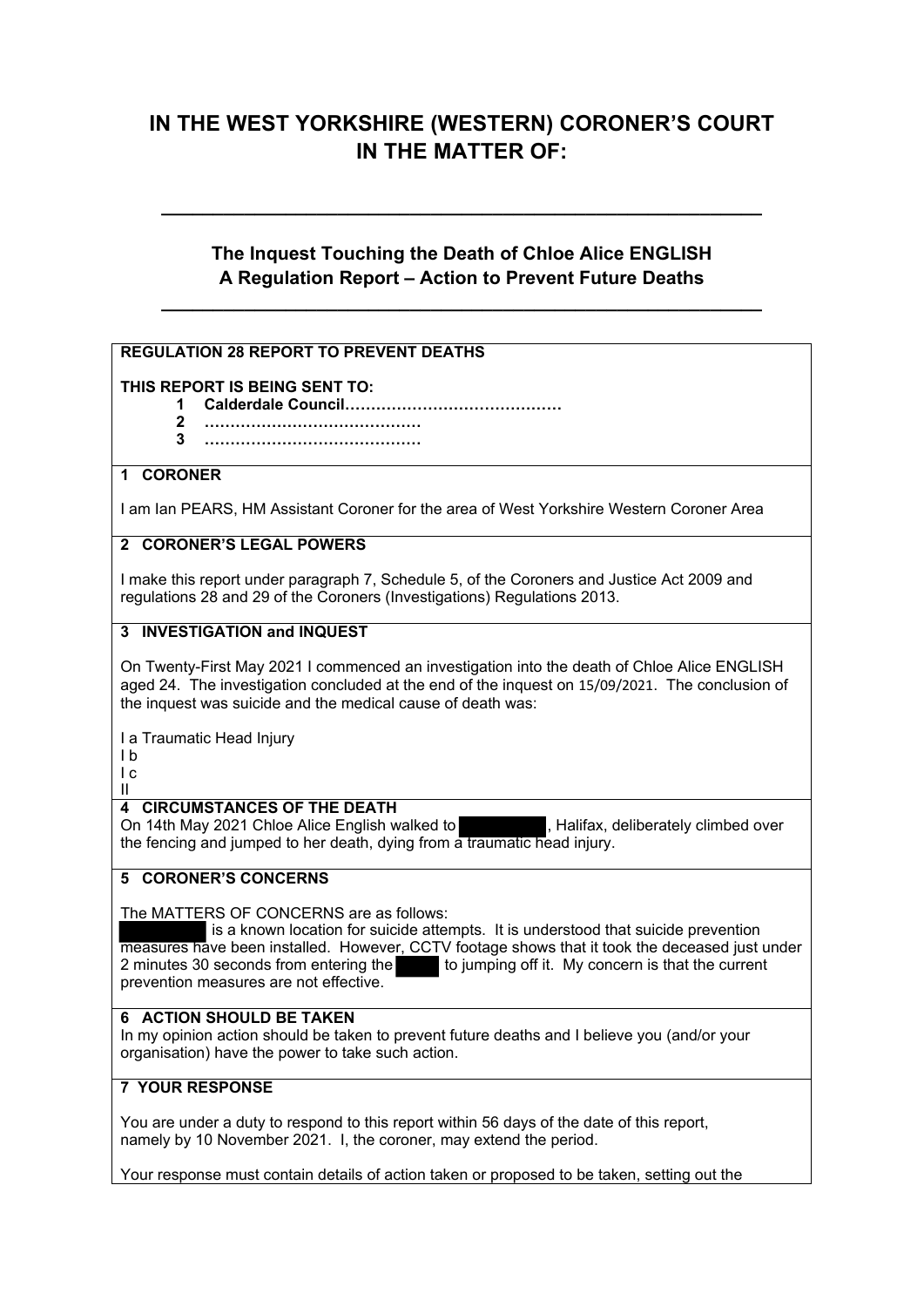# **IN THE WEST YORKSHIRE (WESTERN) CORONER'S COURT IN THE MATTER OF:**

# **The Inquest Touching the Death of Chloe Alice ENGLISH A Regulation Report – Action to Prevent Future Deaths**

**\_\_\_\_\_\_\_\_\_\_\_\_\_\_\_\_\_\_\_\_\_\_\_\_\_\_\_\_\_\_\_\_\_\_\_\_\_\_\_\_\_\_\_\_\_\_\_\_\_\_\_\_\_\_\_\_\_\_** 

**\_\_\_\_\_\_\_\_\_\_\_\_\_\_\_\_\_\_\_\_\_\_\_\_\_\_\_\_\_\_\_\_\_\_\_\_\_\_\_\_\_\_\_\_\_\_\_\_\_\_\_\_\_\_\_\_\_\_** 

### **REGULATION 28 REPORT TO PREVENT DEATHS**

#### **THIS REPORT IS BEING SENT TO:**

- **1 Calderdale Council……………………………………**
- **2 ……………………………………**
	- **3 ……………………………………**

# **1 CORONER**

I am Ian PEARS, HM Assistant Coroner for the area of West Yorkshire Western Coroner Area

#### **2 CORONER'S LEGAL POWERS**

I make this report under paragraph 7, Schedule 5, of the Coroners and Justice Act 2009 and regulations 28 and 29 of the Coroners (Investigations) Regulations 2013.

#### **3 INVESTIGATION and INQUEST**

On Twenty-First May 2021 I commenced an investigation into the death of Chloe Alice ENGLISH aged 24. The investigation concluded at the end of the inquest on 15/09/2021. The conclusion of the inquest was suicide and the medical cause of death was:

I a Traumatic Head Injury

I b

I c II

#### **4 CIRCUMSTANCES OF THE DEATH**

On 14th May 2021 Chloe Alice English walked to , Halifax, deliberately climbed over the fencing and jumped to her death, dying from a traumatic head injury.

# **5 CORONER'S CONCERNS**

The MATTERS OF CONCERNS are as follows:

 is a known location for suicide attempts. It is understood that suicide prevention measures have been installed. However, CCTV footage shows that it took the deceased just under<br>2 minutes 30 seconds from entering the strategies to jumping off it. My concern is that the current to jumping off it. My concern is that the current prevention measures are not effective.

# **6 ACTION SHOULD BE TAKEN**

In my opinion action should be taken to prevent future deaths and I believe you (and/or your organisation) have the power to take such action.

#### **7 YOUR RESPONSE**

You are under a duty to respond to this report within 56 days of the date of this report, namely by 10 November 2021. I, the coroner, may extend the period.

Your response must contain details of action taken or proposed to be taken, setting out the